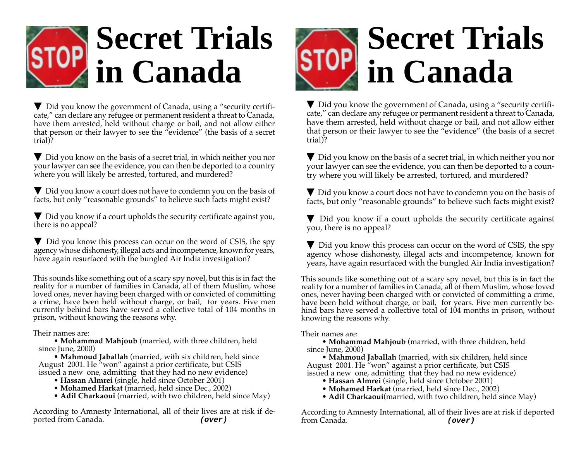

 $\nabla$  Did you know the government of Canada, using a "security certificate," can declare any refugee or permanent resident a threat to Canada, have them arrested, held without charge or bail, and not allow either that person or their lawyer to see the "evidence" (the basis of a secret trial)?

▼ Did you know on the basis of a secret trial, in which neither you nor your lawyer can see the evidence, you can then be deported to a country where you will likely be arrested, tortured, and murdered?

▼ Did you know a court does not have to condemn you on the basis of facts, but only "reasonable grounds" to believe such facts might exist?

▼ Did you know if a court upholds the security certificate against you, there is no appeal?

 $\nabla$  Did you know this process can occur on the word of CSIS, the spy agency whose dishonesty, illegal acts and incompetence, known for years, have again resurfaced with the bungled Air India investigation?

This sounds like something out of a scary spy novel, but this is in fact the reality for a number of families in Canada, all of them Muslim, whose loved ones, never having been charged with or convicted of committing a crime, have been held without charge, or bail, for years. Five men currently behind bars have served a collective total of 104 months in prison, without knowing the reasons why.

Their names are:

• **Mohammad Mahjoub** (married, with three children, held since June, 2000)

• **Mahmoud Jaballah** (married, with six children, held since August 2001. He "won" against a prior certificate, but CSIS issued a new one, admitting that they had no new evidence)

- **Hassan Almrei** (single, held since October 2001)
- **Mohamed Harkat** (married, held since Dec., 2002)
- **Adil Charkaoui** (married, with two children, held since May)

According to Amnesty International, all of their lives are at risk if deported from Canada. **(over)** 



 $\nabla$  Did you know the government of Canada, using a "security certificate," can declare any refugee or permanent resident a threat to Canada, have them arrested, held without charge or bail, and not allow either that person or their lawyer to see the "evidence" (the basis of a secret trial)?

▼ Did you know on the basis of a secret trial, in which neither you nor your lawyer can see the evidence, you can then be deported to a country where you will likely be arrested, tortured, and murdered?

▼ Did you know a court does not have to condemn you on the basis of facts, but only "reasonable grounds" to believe such facts might exist?

 $\nabla$  Did you know if a court upholds the security certificate against you, there is no appeal?

 $\nabla$  Did you know this process can occur on the word of CSIS, the spy agency whose dishonesty, illegal acts and incompetence, known for years, have again resurfaced with the bungled Air India investigation?

This sounds like something out of a scary spy novel, but this is in fact the reality for a number of families in Canada, all of them Muslim, whose loved ones, never having been charged with or convicted of committing a crime, have been held without charge, or bail, for years. Five men currently behind bars have served a collective total of 104 months in prison, without knowing the reasons why.

Their names are:

• **Mohammad Mahjoub** (married, with three children, held since June, 2000)

• **Mahmoud Jaballah** (married, with six children, held since August 2001. He "won" against a prior certificate, but CSIS issued a new one, admitting that they had no new evidence)

- **Hassan Almrei** (single, held since October 2001)
- **Mohamed Harkat** (married, held since Dec., 2002)
- **Adil Charkaoui**(married, with two children, held since May)

According to Amnesty International, all of their lives are at risk if deported from Canada. **(over)**